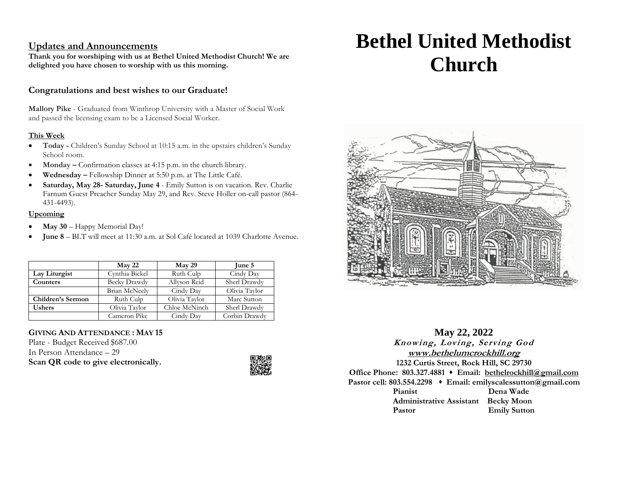# **Updates and Announcements**

**Thank you for worshiping with us at Bethel United Methodist Church! We are delighted you have chosen to worship with us this morning.**

# **Congratulations and best wishes to our Graduate!**

**Mallory Pike** - Graduated from Winthrop University with a Master of Social Work and passed the licensing exam to be a Licensed Social Worker.

## **This Week**

- **Today -** Children's Sunday School at 10:15 a.m. in the upstairs children's Sunday School room.
- **Monday** Confirmation classes at 4:15 p.m. in the church library.
- **Wednesday –** Fellowship Dinner at 5:50 p.m. at The Little Café.
- **Saturday, May 28- Saturday, June 4** Emily Sutton is on vacation. Rev. Charlie Farnum Guest Preacher Sunday May 29, and Rev. Steve Holler on-call pastor (864- 431-4493).

## **Upcoming**

- **May 30** Happy Memorial Day!
- **June 8**  BLT will meet at 11:30 a.m. at Sol Café located at 1039 Charlotte Avenue.

|                   | $M$ ay 22            | $M$ ay 29     | June 5        |
|-------------------|----------------------|---------------|---------------|
| Lay Liturgist     | Cynthia Bickel       | Ruth Culp     | Cindy Day     |
| Counters          | <b>Becky Drawdy</b>  | Allyson Reid  | Sherl Drawdy  |
|                   | <b>Brian McNeely</b> | Cindy Day     | Olivia Taylor |
| Children's Sermon | Ruth Culp            | Olivia Taylor | Marc Sutton   |
| <b>Ushers</b>     | Olivia Taylor        | Chloe McNinch | Sherl Drawdy  |
|                   | Cameron Pike         | Cindy Day     | Corbin Drawdy |

# **GIVING AND ATTENDANCE : MAY 15**

Plate - Budget Received \$687.00 In Person Attendance – 29 **Scan QR code to give electronically.**



# **Bethel United Methodist Church**



# **May 22, 2022 Knowing, Loving, Serving God [www.bethelumcrockhill.org](http://www.bethelrockhill.org/) 1232 Curtis Street, Rock Hill, SC 29730 Office Phone: 803.327.4881** ⬧ **Email: [bethelrockhill@gmail.com](mailto:bethelrockhill@gmail.com) Pastor cell: 803.554.2298** ⬧ **Email: emilyscalessutton@gmail.com Pianist Dena Wade Administrative Assistant Becky Moon Pastor Emily Sutton**